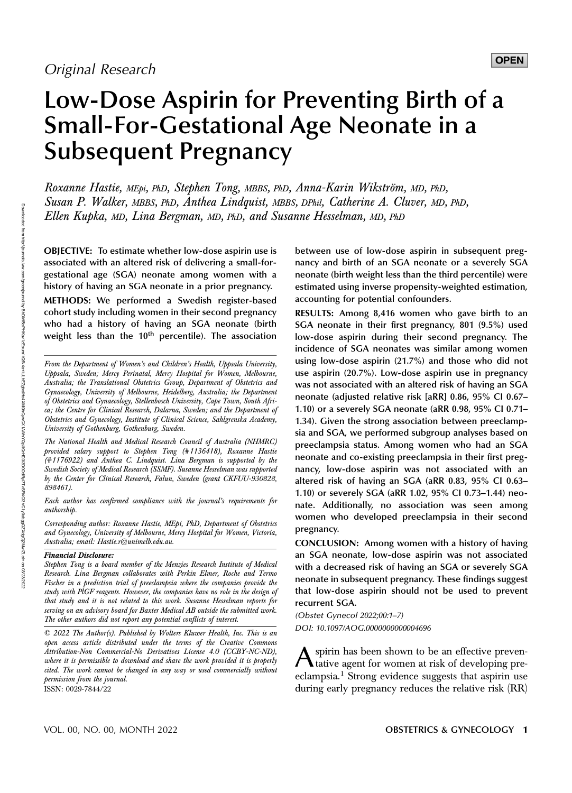# Low-Dose Aspirin for Preventing Birth of a Small-For-Gestational Age Neonate in a Subsequent Pregnancy

Roxanne Hastie, MEpi, PhD, Stephen Tong, MBBS, PhD, Anna-Karin Wikström, MD, PhD, Susan P. Walker, MBBS, PhD, Anthea Lindquist, MBBS, DPhil, Catherine A. Cluver, MD, PhD, Ellen Kupka, MD, Lina Bergman, MD, PhD, and Susanne Hesselman, MD, PhD

OBJECTIVE: To estimate whether low-dose aspirin use is associated with an altered risk of delivering a small-forgestational age (SGA) neonate among women with a history of having an SGA neonate in a prior pregnancy.

METHODS: We performed a Swedish register-based cohort study including women in their second pregnancy who had a history of having an SGA neonate (birth weight less than the  $10<sup>th</sup>$  percentile). The association

The National Health and Medical Research Council of Australia (NHMRC) provided salary support to Stephen Tong (#1136418), Roxanne Hastie (#1176922) and Anthea C. Lindquist. Lina Bergman is supported by the Swedish Society of Medical Research (SSMF). Susanne Hesselman was supported by the Center for Clinical Research, Falun, Sweden (grant CKFUU-930828, 898461).

Each author has confirmed compliance with the journal's requirements for authorship.

Corresponding author: Roxanne Hastie, MEpi, PhD, Department of Obstetrics and Gynecology, University of Melbourne, Mercy Hospital for Women, Victoria, Australia; email: [Hastie.r@unimelb.edu.au.](mailto:Hastie.r@unimelb.edu.au)

#### Financial Disclosure:

Stephen Tong is a board member of the Menzies Research Institute of Medical Research. Lina Bergman collaborates with Perkin Elmer, Roche and Termo Fischer in a prediction trial of preeclampsia where the companies provide the study with PlGF reagents. However, the companies have no role in the design of that study and it is not related to this work. Susanne Hesselman reports for serving on an advisory board for Baxter Medical AB outside the submitted work. The other authors did not report any potential conflicts of interest.

© 2022 The Author(s). Published by Wolters Kluwer Health, Inc. This is an open access article distributed under the terms of the [Creative Commons](http://creativecommons.org/licenses/by-nc-nd/4.0/) [Attribution-Non Commercial-No Derivatives License 4.0 \(CCBY-NC-ND\)](http://creativecommons.org/licenses/by-nc-nd/4.0/), where it is permissible to download and share the work provided it is properly cited. The work cannot be changed in any way or used commercially without permission from the journal. ISSN: 0029-7844/22

between use of low-dose aspirin in subsequent pregnancy and birth of an SGA neonate or a severely SGA neonate (birth weight less than the third percentile) were estimated using inverse propensity-weighted estimation, accounting for potential confounders.

RESULTS: Among 8,416 women who gave birth to an SGA neonate in their first pregnancy, 801 (9.5%) used low-dose aspirin during their second pregnancy. The incidence of SGA neonates was similar among women using low-dose aspirin (21.7%) and those who did not use aspirin (20.7%). Low-dose aspirin use in pregnancy was not associated with an altered risk of having an SGA neonate (adjusted relative risk [aRR] 0.86, 95% CI 0.67– 1.10) or a severely SGA neonate (aRR 0.98, 95% CI 0.71– 1.34). Given the strong association between preeclampsia and SGA, we performed subgroup analyses based on preeclampsia status. Among women who had an SGA neonate and co-existing preeclampsia in their first pregnancy, low-dose aspirin was not associated with an altered risk of having an SGA (aRR 0.83, 95% CI 0.63– 1.10) or severely SGA (aRR 1.02, 95% CI 0.73–1.44) neonate. Additionally, no association was seen among women who developed preeclampsia in their second pregnancy.

CONCLUSION: Among women with a history of having an SGA neonate, low-dose aspirin was not associated with a decreased risk of having an SGA or severely SGA neonate in subsequent pregnancy. These findings suggest that low-dose aspirin should not be used to prevent recurrent SGA.

(Obstet Gynecol 2022;00:1–7) DOI: 10.1097/AOG.0000000000004696

Aspirin has been shown to be an effective preven-tative agent for women at risk of developing preeclampsia.<sup>1</sup> Strong evidence suggests that aspirin use during early pregnancy reduces the relative risk (RR)

From the Department of Women's and Children's Health, Uppsala University, Uppsala, Sweden; Mercy Perinatal, Mercy Hospital for Women, Melbourne, Australia; the Translational Obstetrics Group, Department of Obstetrics and Gynaecology, University of Melbourne, Heidelberg, Australia; the Department of Obstetrics and Gynaecology, Stellenbosch University, Cape Town, South Africa; the Centre for Clinical Research, Dalarna, Sweden; and the Department of Obstetrics and Gynecology, Institute of Clinical Science, Sahlgrenska Academy, University of Gothenburg, Gothenburg, Sweden.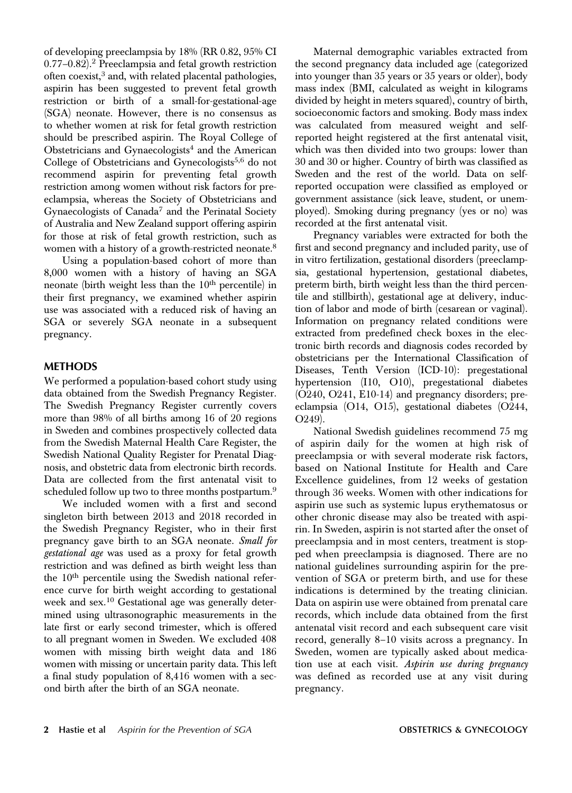of developing preeclampsia by 18% (RR 0.82, 95% CI  $0.77-0.82$ ).<sup>2</sup> Preeclampsia and fetal growth restriction often coexist,<sup>3</sup> and, with related placental pathologies, aspirin has been suggested to prevent fetal growth restriction or birth of a small-for-gestational-age (SGA) neonate. However, there is no consensus as to whether women at risk for fetal growth restriction should be prescribed aspirin. The Royal College of Obstetricians and Gynaecologists<sup>4</sup> and the American College of Obstetricians and Gynecologists<sup>5,6</sup> do not recommend aspirin for preventing fetal growth restriction among women without risk factors for preeclampsia, whereas the Society of Obstetricians and Gynaecologists of Canada<sup>7</sup> and the Perinatal Society of Australia and New Zealand support offering aspirin for those at risk of fetal growth restriction, such as women with a history of a growth-restricted neonate.<sup>8</sup>

Using a population-based cohort of more than 8,000 women with a history of having an SGA neonate (birth weight less than the 10<sup>th</sup> percentile) in their first pregnancy, we examined whether aspirin use was associated with a reduced risk of having an SGA or severely SGA neonate in a subsequent pregnancy.

### METHODS

We performed a population-based cohort study using data obtained from the Swedish Pregnancy Register. The Swedish Pregnancy Register currently covers more than 98% of all births among 16 of 20 regions in Sweden and combines prospectively collected data from the Swedish Maternal Health Care Register, the Swedish National Quality Register for Prenatal Diagnosis, and obstetric data from electronic birth records. Data are collected from the first antenatal visit to scheduled follow up two to three months postpartum.<sup>9</sup>

We included women with a first and second singleton birth between 2013 and 2018 recorded in the Swedish Pregnancy Register, who in their first pregnancy gave birth to an SGA neonate. Small for gestational age was used as a proxy for fetal growth restriction and was defined as birth weight less than the 10<sup>th</sup> percentile using the Swedish national reference curve for birth weight according to gestational week and sex.<sup>10</sup> Gestational age was generally determined using ultrasonographic measurements in the late first or early second trimester, which is offered to all pregnant women in Sweden. We excluded 408 women with missing birth weight data and 186 women with missing or uncertain parity data. This left a final study population of 8,416 women with a second birth after the birth of an SGA neonate.

Maternal demographic variables extracted from the second pregnancy data included age (categorized into younger than 35 years or 35 years or older), body mass index (BMI, calculated as weight in kilograms divided by height in meters squared), country of birth, socioeconomic factors and smoking. Body mass index was calculated from measured weight and selfreported height registered at the first antenatal visit, which was then divided into two groups: lower than 30 and 30 or higher. Country of birth was classified as Sweden and the rest of the world. Data on selfreported occupation were classified as employed or government assistance (sick leave, student, or unemployed). Smoking during pregnancy (yes or no) was recorded at the first antenatal visit.

Pregnancy variables were extracted for both the first and second pregnancy and included parity, use of in vitro fertilization, gestational disorders (preeclampsia, gestational hypertension, gestational diabetes, preterm birth, birth weight less than the third percentile and stillbirth), gestational age at delivery, induction of labor and mode of birth (cesarean or vaginal). Information on pregnancy related conditions were extracted from predefined check boxes in the electronic birth records and diagnosis codes recorded by obstetricians per the International Classification of Diseases, Tenth Version (ICD-10): pregestational hypertension (I10, O10), pregestational diabetes (O240, O241, E10-14) and pregnancy disorders; preeclampsia (O14, O15), gestational diabetes (O244, O249).

National Swedish guidelines recommend 75 mg of aspirin daily for the women at high risk of preeclampsia or with several moderate risk factors, based on National Institute for Health and Care Excellence guidelines, from 12 weeks of gestation through 36 weeks. Women with other indications for aspirin use such as systemic lupus erythematosus or other chronic disease may also be treated with aspirin. In Sweden, aspirin is not started after the onset of preeclampsia and in most centers, treatment is stopped when preeclampsia is diagnosed. There are no national guidelines surrounding aspirin for the prevention of SGA or preterm birth, and use for these indications is determined by the treating clinician. Data on aspirin use were obtained from prenatal care records, which include data obtained from the first antenatal visit record and each subsequent care visit record, generally 8–10 visits across a pregnancy. In Sweden, women are typically asked about medication use at each visit. Aspirin use during pregnancy was defined as recorded use at any visit during pregnancy.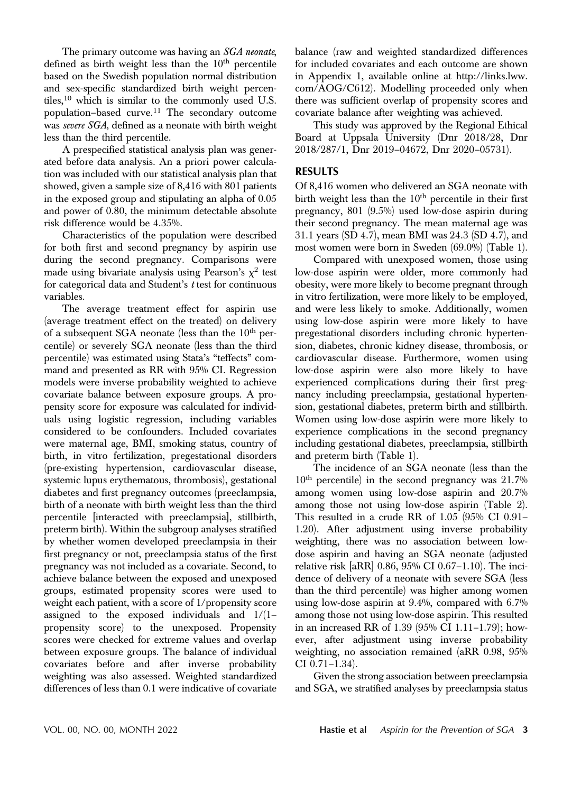The primary outcome was having an *SGA neonate*, defined as birth weight less than the  $10<sup>th</sup>$  percentile based on the Swedish population normal distribution and sex-specific standardized birth weight percentiles, $10$  which is similar to the commonly used U.S. population–based curve. $11$  The secondary outcome was severe SGA, defined as a neonate with birth weight less than the third percentile.

A prespecified statistical analysis plan was generated before data analysis. An a priori power calculation was included with our statistical analysis plan that showed, given a sample size of 8,416 with 801 patients in the exposed group and stipulating an alpha of 0.05 and power of 0.80, the minimum detectable absolute risk difference would be 4.35%.

Characteristics of the population were described for both first and second pregnancy by aspirin use during the second pregnancy. Comparisons were made using bivariate analysis using Pearson's  $\chi^2$  test for categorical data and Student's t test for continuous variables.

The average treatment effect for aspirin use (average treatment effect on the treated) on delivery of a subsequent SGA neonate (less than the  $10<sup>th</sup>$  percentile) or severely SGA neonate (less than the third percentile) was estimated using Stata's "teffects" command and presented as RR with 95% CI. Regression models were inverse probability weighted to achieve covariate balance between exposure groups. A propensity score for exposure was calculated for individuals using logistic regression, including variables considered to be confounders. Included covariates were maternal age, BMI, smoking status, country of birth, in vitro fertilization, pregestational disorders (pre-existing hypertension, cardiovascular disease, systemic lupus erythematous, thrombosis), gestational diabetes and first pregnancy outcomes (preeclampsia, birth of a neonate with birth weight less than the third percentile [interacted with preeclampsia], stillbirth, preterm birth). Within the subgroup analyses stratified by whether women developed preeclampsia in their first pregnancy or not, preeclampsia status of the first pregnancy was not included as a covariate. Second, to achieve balance between the exposed and unexposed groups, estimated propensity scores were used to weight each patient, with a score of 1/propensity score assigned to the exposed individuals and 1/(1– propensity score) to the unexposed. Propensity scores were checked for extreme values and overlap between exposure groups. The balance of individual covariates before and after inverse probability weighting was also assessed. Weighted standardized differences of less than 0.1 were indicative of covariate

balance (raw and weighted standardized differences for included covariates and each outcome are shown in Appendix 1, available online at [http://links.lww.](http://links.lww.com/AOG/C612) [com/AOG/C612](http://links.lww.com/AOG/C612)). Modelling proceeded only when there was sufficient overlap of propensity scores and covariate balance after weighting was achieved.

This study was approved by the Regional Ethical Board at Uppsala University (Dnr 2018/28, Dnr 2018/287/1, Dnr 2019–04672, Dnr 2020–05731).

#### RESULTS

Of 8,416 women who delivered an SGA neonate with birth weight less than the 10<sup>th</sup> percentile in their first pregnancy, 801 (9.5%) used low-dose aspirin during their second pregnancy. The mean maternal age was 31.1 years (SD 4.7), mean BMI was 24.3 (SD 4.7), and most women were born in Sweden (69.0%) (Table 1).

Compared with unexposed women, those using low-dose aspirin were older, more commonly had obesity, were more likely to become pregnant through in vitro fertilization, were more likely to be employed, and were less likely to smoke. Additionally, women using low-dose aspirin were more likely to have pregestational disorders including chronic hypertension, diabetes, chronic kidney disease, thrombosis, or cardiovascular disease. Furthermore, women using low-dose aspirin were also more likely to have experienced complications during their first pregnancy including preeclampsia, gestational hypertension, gestational diabetes, preterm birth and stillbirth. Women using low-dose aspirin were more likely to experience complications in the second pregnancy including gestational diabetes, preeclampsia, stillbirth and preterm birth (Table 1).

The incidence of an SGA neonate (less than the  $10<sup>th</sup>$  percentile) in the second pregnancy was  $21.7\%$ among women using low-dose aspirin and 20.7% among those not using low-dose aspirin (Table 2). This resulted in a crude RR of 1.05 (95% CI 0.91– 1.20). After adjustment using inverse probability weighting, there was no association between lowdose aspirin and having an SGA neonate (adjusted relative risk [aRR] 0.86, 95% CI 0.67–1.10). The incidence of delivery of a neonate with severe SGA (less than the third percentile) was higher among women using low-dose aspirin at 9.4%, compared with 6.7% among those not using low-dose aspirin. This resulted in an increased RR of 1.39 (95% CI 1.11–1.79); however, after adjustment using inverse probability weighting, no association remained (aRR 0.98, 95% CI 0.71–1.34).

Given the strong association between preeclampsia and SGA, we stratified analyses by preeclampsia status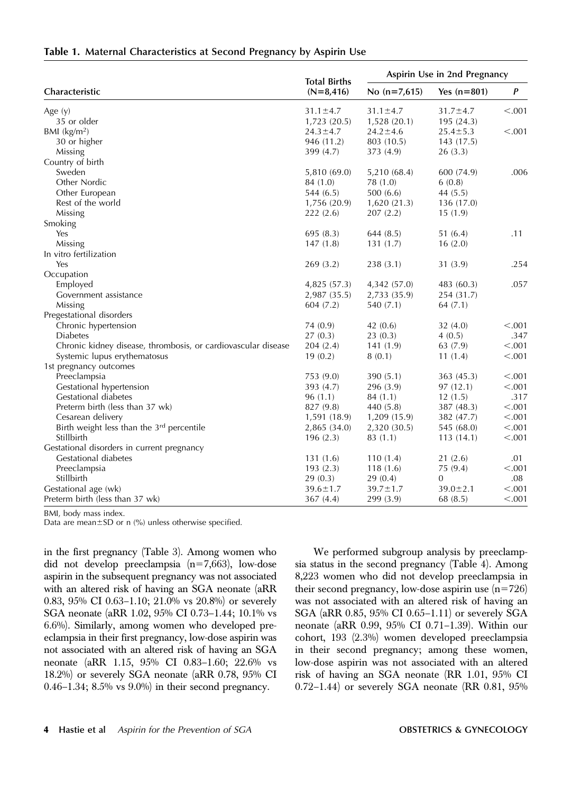|                                                               | <b>Total Births</b> | Aspirin Use in 2nd Pregnancy |                |         |  |  |
|---------------------------------------------------------------|---------------------|------------------------------|----------------|---------|--|--|
| Characteristic                                                | $(N=8,416)$         | No $(n=7,615)$               | Yes $(n=801)$  | P       |  |  |
| Age $(y)$                                                     | $31.1 \pm 4.7$      | $31.1 \pm 4.7$               | $31.7 \pm 4.7$ | < .001  |  |  |
| 35 or older                                                   | 1,723(20.5)         | 1,528 (20.1)                 | 195(24.3)      |         |  |  |
| BMI $(kg/m2)$                                                 | $24.3 \pm 4.7$      | $24.2 \pm 4.6$               | $25.4 \pm 5.3$ | < .001  |  |  |
| 30 or higher                                                  | 946 (11.2)          | 803 (10.5)                   | 143 (17.5)     |         |  |  |
| Missing                                                       | 399 (4.7)           | 373 (4.9)                    | 26(3.3)        |         |  |  |
| Country of birth                                              |                     |                              |                |         |  |  |
| Sweden                                                        | 5,810 (69.0)        | 5,210 (68.4)                 | 600 (74.9)     | .006    |  |  |
| Other Nordic                                                  | 84 (1.0)            | 78 (1.0)                     | 6(0.8)         |         |  |  |
| Other European                                                | 544(6.5)            | 500(6.6)                     | 44(5.5)        |         |  |  |
| Rest of the world                                             | 1,756(20.9)         | 1,620(21.3)                  | 136 (17.0)     |         |  |  |
| Missing                                                       | 222(2.6)            | 207(2.2)                     | 15(1.9)        |         |  |  |
| Smoking                                                       |                     |                              |                |         |  |  |
| Yes                                                           | 695(8.3)            | 644(8.5)                     | 51 (6.4)       | .11     |  |  |
| Missing                                                       | 147(1.8)            | 131(1.7)                     | 16(2.0)        |         |  |  |
| In vitro fertilization                                        |                     |                              |                |         |  |  |
| Yes                                                           | 269(3.2)            | 238(3.1)                     | 31(3.9)        | .254    |  |  |
| Occupation                                                    |                     |                              |                |         |  |  |
| Employed                                                      | 4,825 (57.3)        | 4,342 (57.0)                 | 483 (60.3)     | .057    |  |  |
| Government assistance                                         | 2,987 (35.5)        | 2,733 (35.9)                 | 254 (31.7)     |         |  |  |
| Missing                                                       | 604(7.2)            | 540 (7.1)                    | 64(7.1)        |         |  |  |
| Pregestational disorders                                      |                     |                              |                |         |  |  |
| Chronic hypertension                                          | 74 (0.9)            | 42(0.6)                      | 32(4.0)        | < .001  |  |  |
| <b>Diabetes</b>                                               | 27(0.3)             | 23(0.3)                      | 4(0.5)         | .347    |  |  |
| Chronic kidney disease, thrombosis, or cardiovascular disease | 204(2.4)            | 141(1.9)                     | 63 (7.9)       | < .001  |  |  |
| Systemic lupus erythematosus                                  | 19(0.2)             | 8(0.1)                       | 11(1.4)        | < .001  |  |  |
| 1st pregnancy outcomes                                        |                     |                              |                |         |  |  |
| Preeclampsia                                                  | 753 (9.0)           | 390(5.1)                     | 363 (45.3)     | < .001  |  |  |
| Gestational hypertension                                      | 393 (4.7)           | 296(3.9)                     | 97(12.1)       | < .001  |  |  |
| Gestational diabetes                                          | 96(1.1)             | 84 (1.1)                     | 12(1.5)        | .317    |  |  |
| Preterm birth (less than 37 wk)                               | 827 (9.8)           | 440 (5.8)                    | 387 (48.3)     | < .001  |  |  |
| Cesarean delivery                                             | 1,591 (18.9)        | 1,209 (15.9)                 | 382 (47.7)     | < .001  |  |  |
| Birth weight less than the 3rd percentile                     | 2,865 (34.0)        | 2,320 (30.5)                 | 545 (68.0)     | < .001  |  |  |
| Stillbirth                                                    | 196(2.3)            | 83 (1.1)                     | 113(14.1)      | < .001  |  |  |
| Gestational disorders in current pregnancy                    |                     |                              |                |         |  |  |
| Gestational diabetes                                          | 131(1.6)            | 110(1.4)                     | 21(2.6)        | .01     |  |  |
| Preeclampsia                                                  | 193(2.3)            | 118(1.6)                     | 75(9.4)        | < .001  |  |  |
| Stillbirth                                                    | 29(0.3)             | 29(0.4)                      | 0              | .08     |  |  |
| Gestational age (wk)                                          | $39.6 \pm 1.7$      | $39.7 \pm 1.7$               | $39.0 \pm 2.1$ | < .001  |  |  |
| Preterm birth (less than 37 wk)                               | 367(4.4)            | 299 (3.9)                    | 68 (8.5)       | < 0.001 |  |  |

#### Table 1. Maternal Characteristics at Second Pregnancy by Aspirin Use

BMI, body mass index.

Data are mean $\pm$ SD or n (%) unless otherwise specified.

in the first pregnancy (Table 3). Among women who did not develop preeclampsia  $(n=7,663)$ , low-dose aspirin in the subsequent pregnancy was not associated with an altered risk of having an SGA neonate (aRR 0.83, 95% CI 0.63–1.10; 21.0% vs 20.8%) or severely SGA neonate (aRR 1.02, 95% CI 0.73–1.44; 10.1% vs 6.6%). Similarly, among women who developed preeclampsia in their first pregnancy, low-dose aspirin was not associated with an altered risk of having an SGA neonate (aRR 1.15, 95% CI 0.83–1.60; 22.6% vs 18.2%) or severely SGA neonate (aRR 0.78, 95% CI 0.46–1.34; 8.5% vs 9.0%) in their second pregnancy.

We performed subgroup analysis by preeclampsia status in the second pregnancy (Table 4). Among 8,223 women who did not develop preeclampsia in their second pregnancy, low-dose aspirin use  $(n=726)$ was not associated with an altered risk of having an SGA (aRR 0.85, 95% CI 0.65–1.11) or severely SGA neonate (aRR 0.99, 95% CI 0.71–1.39). Within our cohort, 193 (2.3%) women developed preeclampsia in their second pregnancy; among these women, low-dose aspirin was not associated with an altered risk of having an SGA neonate (RR 1.01, 95% CI 0.72–1.44) or severely SGA neonate (RR 0.81, 95%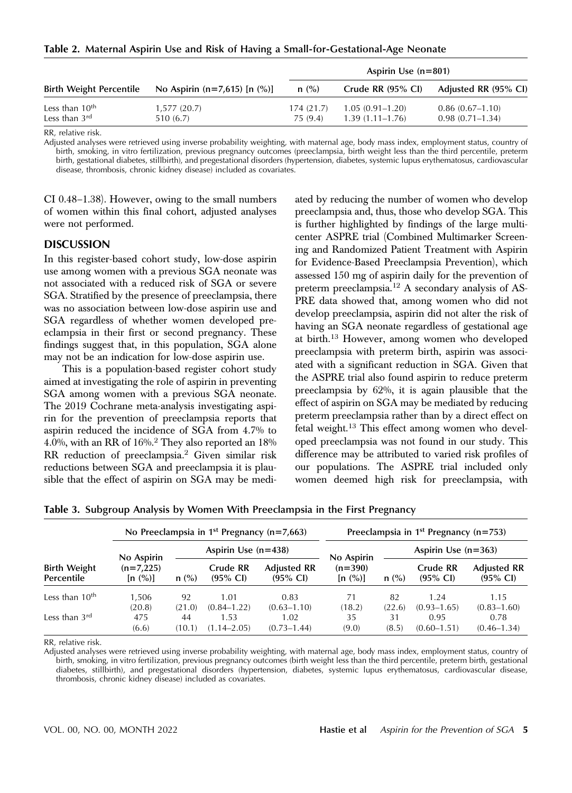Table 2. Maternal Aspirin Use and Risk of Having a Small-for-Gestational-Age Neonate

|                                                         |                                      | Aspirin Use $(n=801)$ |                                            |                                          |  |  |  |
|---------------------------------------------------------|--------------------------------------|-----------------------|--------------------------------------------|------------------------------------------|--|--|--|
| <b>Birth Weight Percentile</b>                          | No Aspirin ( $n=7,615$ ) [n $(\%)$ ] | n (%)                 | Crude RR $(95\%$ CI)                       | Adjusted RR (95% CI)                     |  |  |  |
| Less than 10 <sup>th</sup><br>Less than $3^{\text{rd}}$ | 1,577(20.7)<br>510 (6.7)             | 174(21.7)<br>75 (9.4) | $1.05(0.91 - 1.20)$<br>$1.39(1.11 - 1.76)$ | $0.86(0.67-1.10)$<br>$0.98(0.71 - 1.34)$ |  |  |  |

RR, relative risk.

Adjusted analyses were retrieved using inverse probability weighting, with maternal age, body mass index, employment status, country of birth, smoking, in vitro fertilization, previous pregnancy outcomes (preeclampsia, birth weight less than the third percentile, preterm birth, gestational diabetes, stillbirth), and pregestational disorders (hypertension, diabetes, systemic lupus erythematosus, cardiovascular disease, thrombosis, chronic kidney disease) included as covariates.

CI 0.48–1.38). However, owing to the small numbers of women within this final cohort, adjusted analyses were not performed.

#### DISCUSSION

In this register-based cohort study, low-dose aspirin use among women with a previous SGA neonate was not associated with a reduced risk of SGA or severe SGA. Stratified by the presence of preeclampsia, there was no association between low-dose aspirin use and SGA regardless of whether women developed preeclampsia in their first or second pregnancy. These findings suggest that, in this population, SGA alone may not be an indication for low-dose aspirin use.

This is a population-based register cohort study aimed at investigating the role of aspirin in preventing SGA among women with a previous SGA neonate. The 2019 Cochrane meta-analysis investigating aspirin for the prevention of preeclampsia reports that aspirin reduced the incidence of SGA from 4.7% to 4.0%, with an RR of 16%.<sup>2</sup> They also reported an 18% RR reduction of preeclampsia.<sup>2</sup> Given similar risk reductions between SGA and preeclampsia it is plausible that the effect of aspirin on SGA may be mediated by reducing the number of women who develop preeclampsia and, thus, those who develop SGA. This is further highlighted by findings of the large multicenter ASPRE trial (Combined Multimarker Screening and Randomized Patient Treatment with Aspirin for Evidence-Based Preeclampsia Prevention), which assessed 150 mg of aspirin daily for the prevention of preterm preeclampsia.<sup>12</sup> A secondary analysis of AS-PRE data showed that, among women who did not develop preeclampsia, aspirin did not alter the risk of having an SGA neonate regardless of gestational age at birth.<sup>13</sup> However, among women who developed preeclampsia with preterm birth, aspirin was associated with a significant reduction in SGA. Given that the ASPRE trial also found aspirin to reduce preterm preeclampsia by 62%, it is again plausible that the effect of aspirin on SGA may be mediated by reducing preterm preeclampsia rather than by a direct effect on fetal weight.<sup>13</sup> This effect among women who developed preeclampsia was not found in our study. This difference may be attributed to varied risk profiles of our populations. The ASPRE trial included only women deemed high risk for preeclampsia, with

|                                   |                                      | No Preeclampsia in 1 <sup>st</sup> Pregnancy ( $n=7,663$ ) |                                 |                                           |                                    |                       | Preeclampsia in $1^{st}$ Pregnancy (n=753) |                                           |  |  |  |
|-----------------------------------|--------------------------------------|------------------------------------------------------------|---------------------------------|-------------------------------------------|------------------------------------|-----------------------|--------------------------------------------|-------------------------------------------|--|--|--|
|                                   |                                      |                                                            | Aspirin Use $(n=438)$           |                                           |                                    | Aspirin Use $(n=363)$ |                                            |                                           |  |  |  |
| <b>Birth Weight</b><br>Percentile | No Aspirin<br>$(n=7,225)$<br>[n (%)] | $n$ (%)                                                    | Crude RR<br>$(95\% \text{ Cl})$ | <b>Adjusted RR</b><br>$(95\% \text{ Cl})$ | No Aspirin<br>$(n=390)$<br>[n (%)] | $n$ (%)               | Crude RR<br>$(95\% \text{ Cl})$            | <b>Adjusted RR</b><br>$(95\% \text{ Cl})$ |  |  |  |
| Less than $10th$                  | 1.506<br>(20.8)                      | 92<br>(21.0)                                               | 1.01<br>$(0.84 - 1.22)$         | 0.83<br>$(0.63 - 1.10)$                   | 71<br>(18.2)                       | 82<br>(22.6)          | 1.24<br>$(0.93 - 1.65)$                    | 1.15<br>$(0.83 - 1.60)$                   |  |  |  |
| Less than $3rd$                   | 475<br>(6.6)                         | 44<br>(10.1)                                               | 1.53<br>$(1.14 - 2.05)$         | 1.02<br>$(0.73 - 1.44)$                   | 35<br>(9.0)                        | 31<br>(8.5)           | 0.95<br>$(0.60 - 1.51)$                    | 0.78<br>$(0.46 - 1.34)$                   |  |  |  |

Table 3. Subgroup Analysis by Women With Preeclampsia in the First Pregnancy

RR, relative risk.

Adjusted analyses were retrieved using inverse probability weighting, with maternal age, body mass index, employment status, country of birth, smoking, in vitro fertilization, previous pregnancy outcomes (birth weight less than the third percentile, preterm birth, gestational diabetes, stillbirth), and pregestational disorders (hypertension, diabetes, systemic lupus erythematosus, cardiovascular disease, thrombosis, chronic kidney disease) included as covariates.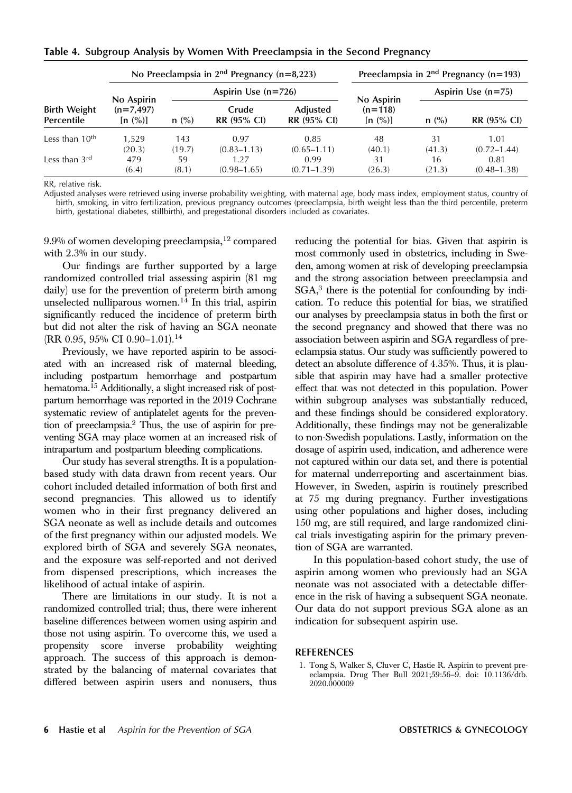|  |  |  |  |  | Table 4. Subgroup Analysis by Women With Preeclampsia in the Second Pregnancy |  |  |  |  |  |  |  |  |
|--|--|--|--|--|-------------------------------------------------------------------------------|--|--|--|--|--|--|--|--|
|--|--|--|--|--|-------------------------------------------------------------------------------|--|--|--|--|--|--|--|--|

| <b>Birth Weight</b><br>Percentile |                                      |               | No Preeclampsia in $2nd$ Pregnancy (n=8,223) | Preeclampsia in $2nd$ Pregnancy (n=193) |                      |                      |                         |  |
|-----------------------------------|--------------------------------------|---------------|----------------------------------------------|-----------------------------------------|----------------------|----------------------|-------------------------|--|
|                                   |                                      |               | Aspirin Use $(n=726)$                        |                                         | No Aspirin           | Aspirin Use $(n=75)$ |                         |  |
|                                   | No Aspirin<br>$(n=7,497)$<br>[n (%)] | $n$ (%)       | Crude<br>RR (95% CI)                         | Adjusted<br>RR (95% CI)                 | $(n=118)$<br>[n (%)] | n (%)                | <b>RR (95% CI)</b>      |  |
| Less than $10th$                  | 1.529<br>(20.3)                      | 143<br>(19.7) | 0.97<br>$(0.83 - 1.13)$                      | 0.85<br>$(0.65 - 1.11)$                 | 48<br>(40.1)         | 31<br>(41.3)         | 1.01<br>$(0.72 - 1.44)$ |  |
| Less than $3rd$                   | 479<br>(6.4)                         | 59<br>(8.1)   | 1.27<br>$(0.98 - 1.65)$                      | 0.99<br>$(0.71 - 1.39)$                 | 31<br>(26.3)         | 16<br>(21.3)         | 0.81<br>$(0.48 - 1.38)$ |  |

RR, relative risk.

Adjusted analyses were retrieved using inverse probability weighting, with maternal age, body mass index, employment status, country of birth, smoking, in vitro fertilization, previous pregnancy outcomes (preeclampsia, birth weight less than the third percentile, preterm birth, gestational diabetes, stillbirth), and pregestational disorders included as covariates.

 $9.9\%$  of women developing preeclampsia,<sup>12</sup> compared with 2.3% in our study.

Our findings are further supported by a large randomized controlled trial assessing aspirin (81 mg daily) use for the prevention of preterm birth among unselected nulliparous women. $14$  In this trial, aspirin significantly reduced the incidence of preterm birth but did not alter the risk of having an SGA neonate (RR 0.95, 95% CI 0.90–1.01).<sup>14</sup>

Previously, we have reported aspirin to be associated with an increased risk of maternal bleeding, including postpartum hemorrhage and postpartum hematoma.<sup>15</sup> Additionally, a slight increased risk of postpartum hemorrhage was reported in the 2019 Cochrane systematic review of antiplatelet agents for the prevention of preeclampsia.2 Thus, the use of aspirin for preventing SGA may place women at an increased risk of intrapartum and postpartum bleeding complications.

Our study has several strengths. It is a populationbased study with data drawn from recent years. Our cohort included detailed information of both first and second pregnancies. This allowed us to identify women who in their first pregnancy delivered an SGA neonate as well as include details and outcomes of the first pregnancy within our adjusted models. We explored birth of SGA and severely SGA neonates, and the exposure was self-reported and not derived from dispensed prescriptions, which increases the likelihood of actual intake of aspirin.

There are limitations in our study. It is not a randomized controlled trial; thus, there were inherent baseline differences between women using aspirin and those not using aspirin. To overcome this, we used a propensity score inverse probability weighting approach. The success of this approach is demonstrated by the balancing of maternal covariates that differed between aspirin users and nonusers, thus reducing the potential for bias. Given that aspirin is most commonly used in obstetrics, including in Sweden, among women at risk of developing preeclampsia and the strong association between preeclampsia and  $SGA$ <sup>3</sup> there is the potential for confounding by indication. To reduce this potential for bias, we stratified our analyses by preeclampsia status in both the first or the second pregnancy and showed that there was no association between aspirin and SGA regardless of preeclampsia status. Our study was sufficiently powered to detect an absolute difference of 4.35%. Thus, it is plausible that aspirin may have had a smaller protective effect that was not detected in this population. Power within subgroup analyses was substantially reduced, and these findings should be considered exploratory. Additionally, these findings may not be generalizable to non-Swedish populations. Lastly, information on the dosage of aspirin used, indication, and adherence were not captured within our data set, and there is potential for maternal underreporting and ascertainment bias. However, in Sweden, aspirin is routinely prescribed at 75 mg during pregnancy. Further investigations using other populations and higher doses, including 150 mg, are still required, and large randomized clinical trials investigating aspirin for the primary prevention of SGA are warranted.

In this population-based cohort study, the use of aspirin among women who previously had an SGA neonate was not associated with a detectable difference in the risk of having a subsequent SGA neonate. Our data do not support previous SGA alone as an indication for subsequent aspirin use.

#### REFERENCES

1. Tong S, Walker S, Cluver C, Hastie R. Aspirin to prevent preeclampsia. Drug Ther Bull 2021;59:56–9. doi: 10.1136/dtb. 2020.000009